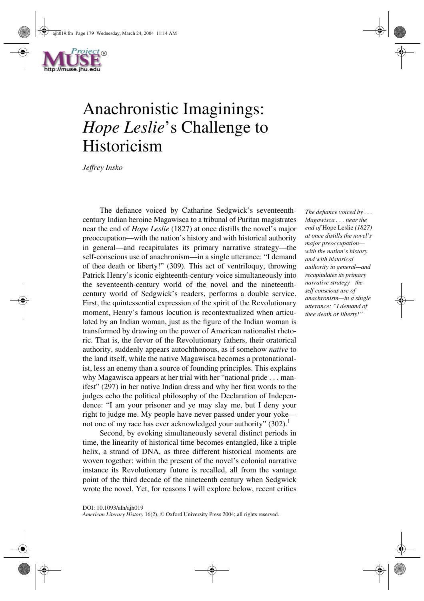

# Anachronistic Imaginings: *Hope Leslie*'s Challenge to Historicism

*Jeffrey Insko* 

The defiance voiced by Catharine Sedgwick's seventeenthcentury Indian heroine Magawisca to a tribunal of Puritan magistrates near the end of *Hope Leslie* (1827) at once distills the novel's major preoccupation—with the nation's history and with historical authority in general—and recapitulates its primary narrative strategy—the self-conscious use of anachronism—in a single utterance: "I demand of thee death or liberty!" (309). This act of ventriloquy, throwing Patrick Henry's iconic eighteenth-century voice simultaneously into the seventeenth-century world of the novel and the nineteenthcentury world of Sedgwick's readers, performs a double service. First, the quintessential expression of the spirit of the Revolutionary moment, Henry's famous locution is recontextualized when articulated by an Indian woman, just as the figure of the Indian woman is transformed by drawing on the power of American nationalist rhetoric. That is, the fervor of the Revolutionary fathers, their oratorical authority, suddenly appears autochthonous, as if somehow *native* to the land itself, while the native Magawisca becomes a protonationalist, less an enemy than a source of founding principles. This explains why Magawisca appears at her trial with her "national pride . . . manifest" (297) in her native Indian dress and why her first words to the judges echo the political philosophy of the Declaration of Independence: "I am your prisoner and ye may slay me, but I deny your right to judge me. My people have never passed under your yoke not one of my race has ever acknowledged your authority"  $(302)$ .<sup>1</sup>

Second, by evoking simultaneously several distinct periods in time, the linearity of historical time becomes entangled, like a triple helix, a strand of DNA, as three different historical moments are woven together: within the present of the novel's colonial narrative instance its Revolutionary future is recalled, all from the vantage point of the third decade of the nineteenth century when Sedgwick wrote the novel. Yet, for reasons I will explore below, recent critics

*The defiance voiced by ... Magawisca . . . near the end of* Hope Leslie *(1827) at once distills the novel's major preoccupation with the nation's history and with historical authority in general—and recapitulates its primary narrative strategy—the self-conscious use of anachronism—in a single utterance: "I demand of thee death or liberty!"*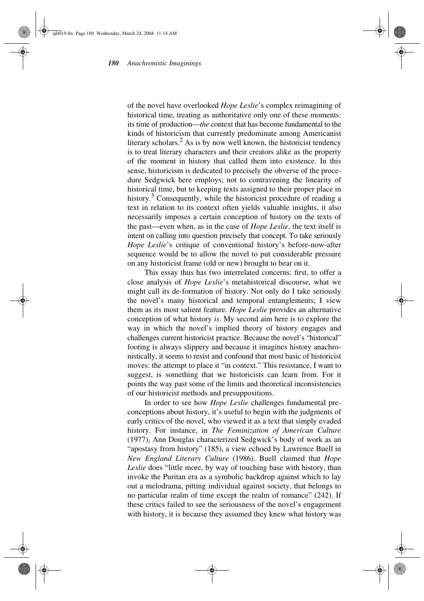of the novel have overlooked *Hope Leslie*'s complex reimagining of historical time, treating as authoritative only one of these moments: its time of production—*the* context that has become fundamental to the kinds of historicism that currently predominate among Americanist literary scholars.<sup>2</sup> As is by now well known, the historicist tendency is to treat literary characters and their creators alike as the property of the moment in history that called them into existence. In this sense, historicism is dedicated to precisely the obverse of the procedure Sedgwick here employs; not to contravening the linearity of historical time, but to keeping texts assigned to their proper place in history.<sup>3</sup> Consequently, while the historicist procedure of reading a text in relation to its context often yields valuable insights, it also necessarily imposes a certain conception of history on the texts of the past—even when, as in the case of *Hope Leslie*, the text itself is intent on calling into question precisely that concept. To take seriously *Hope Leslie*'s critique of conventional history's before-now-after sequence would be to allow the novel to put considerable pressure on any historicist frame (old or new) brought to bear on it.

This essay thus has two interrelated concerns: first, to offer a close analysis of *Hope Leslie*'s metahistorical discourse, what we might call its de-formation of history. Not only do I take seriously the novel's many historical and temporal entanglements; I view them as its most salient feature. *Hope Leslie* provides an alternative conception of what history *is*. My second aim here is to explore the way in which the novel's implied theory of history engages and challenges current historicist practice. Because the novel's "historical" footing is always slippery and because it imagines history anachronistically, it seems to resist and confound that most basic of historicist moves: the attempt to place it "in context." This resistance, I want to suggest, is something that we historicists can learn from. For it points the way past some of the limits and theoretical inconsistencies of our historicist methods and presuppositions.

In order to see how *Hope Leslie* challenges fundamental preconceptions about history, it's useful to begin with the judgments of early critics of the novel, who viewed it as a text that simply evaded history. For instance, in *The Feminization of American Culture* (1977), Ann Douglas characterized Sedgwick's body of work as an "apostasy from history" (185), a view echoed by Lawrence Buell in *New England Literary Culture* (1986). Buell claimed that *Hope Leslie* does "little more, by way of touching base with history, than invoke the Puritan era as a symbolic backdrop against which to lay out a melodrama, pitting individual against society, that belongs to no particular realm of time except the realm of romance" (242). If these critics failed to see the seriousness of the novel's engagement with history, it is because they assumed they knew what history was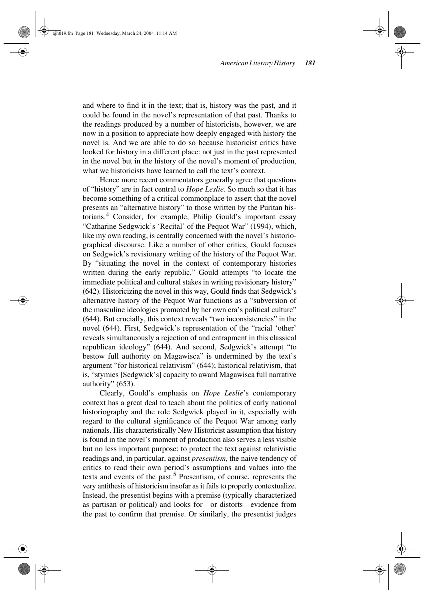and where to find it in the text; that is, history was the past, and it could be found in the novel's representation of that past. Thanks to the readings produced by a number of historicists, however, we are now in a position to appreciate how deeply engaged with history the novel is. And we are able to do so because historicist critics have looked for history in a different place: not just in the past represented in the novel but in the history of the novel's moment of production, what we historicists have learned to call the text's context.

Hence more recent commentators generally agree that questions of "history" are in fact central to *Hope Leslie*. So much so that it has become something of a critical commonplace to assert that the novel presents an "alternative history" to those written by the Puritan historians.<sup>4</sup> Consider, for example, Philip Gould's important essay "Catharine Sedgwick's 'Recital' of the Pequot War" (1994), which, like my own reading, is centrally concerned with the novel's historiographical discourse. Like a number of other critics, Gould focuses on Sedgwick's revisionary writing of the history of the Pequot War. By "situating the novel in the context of contemporary histories written during the early republic," Gould attempts "to locate the immediate political and cultural stakes in writing revisionary history"  $(642)$ . Historicizing the novel in this way, Gould finds that Sedgwick's alternative history of the Pequot War functions as a "subversion of the masculine ideologies promoted by her own era's political culture" (644). But crucially, this context reveals "two inconsistencies" in the novel (644). First, Sedgwick's representation of the "racial 'other' reveals simultaneously a rejection of and entrapment in this classical republican ideology" (644). And second, Sedgwick's attempt "to bestow full authority on Magawisca" is undermined by the text's argument "for historical relativism" (644); historical relativism, that is, "stymies [Sedgwick's] capacity to award Magawisca full narrative authority" (653).

Clearly, Gould's emphasis on *Hope Leslie*'s contemporary context has a great deal to teach about the politics of early national historiography and the role Sedgwick played in it, especially with regard to the cultural significance of the Pequot War among early nationals. His characteristically New Historicist assumption that history is found in the novel's moment of production also serves a less visible but no less important purpose: to protect the text against relativistic readings and, in particular, against *presentism*, the naive tendency of critics to read their own period's assumptions and values into the texts and events of the past.5 Presentism, of course, represents the very antithesis of historicism insofar as it fails to properly contextualize. Instead, the presentist begins with a premise (typically characterized as partisan or political) and looks for—or distorts—evidence from the past to confirm that premise. Or similarly, the presentist judges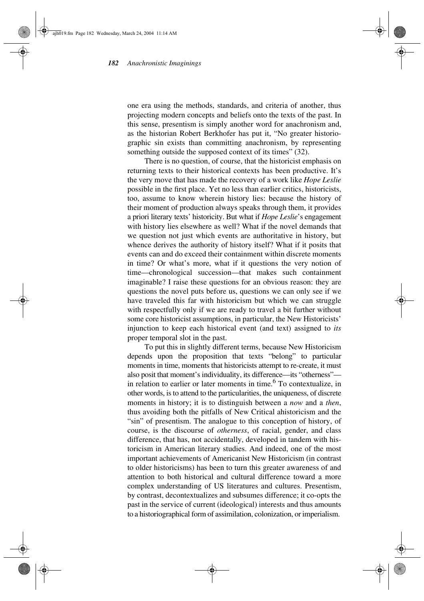one era using the methods, standards, and criteria of another, thus projecting modern concepts and beliefs onto the texts of the past. In this sense, presentism is simply another word for anachronism and, as the historian Robert Berkhofer has put it, "No greater historiographic sin exists than committing anachronism, by representing something outside the supposed context of its times" (32).

There is no question, of course, that the historicist emphasis on returning texts to their historical contexts has been productive. It's the very move that has made the recovery of a work like *Hope Leslie* possible in the first place. Yet no less than earlier critics, historicists, too, assume to know wherein history lies: because the history of their moment of production always speaks through them, it provides a priori literary texts' historicity. But what if *Hope Leslie*'s engagement with history lies elsewhere as well? What if the novel demands that we question not just which events are authoritative in history, but whence derives the authority of history itself? What if it posits that events can and do exceed their containment within discrete moments in time? Or what's more, what if it questions the very notion of time—chronological succession—that makes such containment imaginable? I raise these questions for an obvious reason: they are questions the novel puts before us, questions we can only see if we have traveled this far with historicism but which we can struggle with respectfully only if we are ready to travel a bit further without some core historicist assumptions, in particular, the New Historicists' injunction to keep each historical event (and text) assigned to *its* proper temporal slot in the past.

To put this in slightly different terms, because New Historicism depends upon the proposition that texts "belong" to particular moments in time, moments that historicists attempt to re-create, it must also posit that moment's individuality, its difference—its "otherness" in relation to earlier or later moments in time.<sup>6</sup> To contextualize, in other words, is to attend to the particularities, the uniqueness, of discrete moments in history; it is to distinguish between a *now* and a *then*, thus avoiding both the pitfalls of New Critical ahistoricism and the "sin" of presentism. The analogue to this conception of history, of course, is the discourse of *otherness*, of racial, gender, and class difference, that has, not accidentally, developed in tandem with historicism in American literary studies. And indeed, one of the most important achievements of Americanist New Historicism (in contrast to older historicisms) has been to turn this greater awareness of and attention to both historical and cultural difference toward a more complex understanding of US literatures and cultures. Presentism, by contrast, decontextualizes and subsumes difference; it co-opts the past in the service of current (ideological) interests and thus amounts to a historiographical form of assimilation, colonization, or imperialism.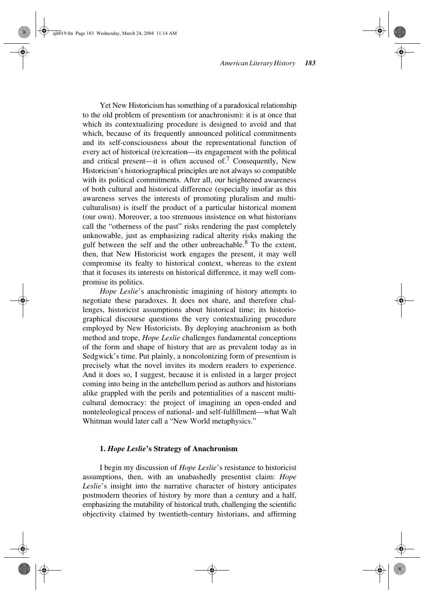Yet New Historicism has something of a paradoxical relationship to the old problem of presentism (or anachronism): it is at once that which its contextualizing procedure is designed to avoid and that which, because of its frequently announced political commitments and its self-consciousness about the representational function of every act of historical (re)creation—its engagement with the political and critical present—it is often accused of.7 Consequently, New Historicism's historiographical principles are not always so compatible with its political commitments. After all, our heightened awareness of both cultural and historical difference (especially insofar as this awareness serves the interests of promoting pluralism and multiculturalism) is itself the product of a particular historical moment (our own). Moreover, a too strenuous insistence on what historians call the "otherness of the past" risks rendering the past completely unknowable, just as emphasizing radical alterity risks making the gulf between the self and the other unbreachable.8 To the extent, then, that New Historicist work engages the present, it may well compromise its fealty to historical context, whereas to the extent that it focuses its interests on historical difference, it may well compromise its politics.

*Hope Leslie*'s anachronistic imagining of history attempts to negotiate these paradoxes. It does not share, and therefore challenges, historicist assumptions about historical time; its historiographical discourse questions the very contextualizing procedure employed by New Historicists. By deploying anachronism as both method and trope, *Hope Leslie* challenges fundamental conceptions of the form and shape of history that are as prevalent today as in Sedgwick's time. Put plainly, a noncolonizing form of presentism is precisely what the novel invites its modern readers to experience. And it does so, I suggest, because it is enlisted in a larger project coming into being in the antebellum period as authors and historians alike grappled with the perils and potentialities of a nascent multicultural democracy: the project of imagining an open-ended and nonteleological process of national- and self-fulfillment—what Walt Whitman would later call a "New World metaphysics."

### **1.** *Hope Leslie***'s Strategy of Anachronism**

I begin my discussion of *Hope Leslie*'s resistance to historicist assumptions, then, with an unabashedly presentist claim: *Hope Leslie*'s insight into the narrative character of history anticipates postmodern theories of history by more than a century and a half, emphasizing the mutability of historical truth, challenging the scientific objectivity claimed by twentieth-century historians, and afrming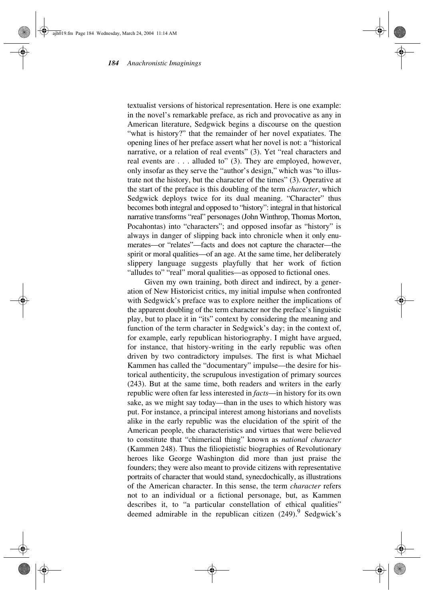textualist versions of historical representation. Here is one example: in the novel's remarkable preface, as rich and provocative as any in American literature, Sedgwick begins a discourse on the question "what is history?" that the remainder of her novel expatiates. The opening lines of her preface assert what her novel is not: a "historical narrative, or a relation of real events" (3). Yet "real characters and real events are . . . alluded to" (3). They are employed, however, only insofar as they serve the "author's design," which was "to illustrate not the history, but the character of the times" (3). Operative at the start of the preface is this doubling of the term *character*, which Sedgwick deploys twice for its dual meaning. "Character" thus becomes both integral and opposed to "history": integral in that historical narrative transforms "real" personages (John Winthrop, Thomas Morton, Pocahontas) into "characters"; and opposed insofar as "history" is always in danger of slipping back into chronicle when it only enumerates—or "relates"—facts and does not capture the character—the spirit or moral qualities—of an age. At the same time, her deliberately slippery language suggests playfully that her work of fiction "alludes to" "real" moral qualities—as opposed to fictional ones.

Given my own training, both direct and indirect, by a generation of New Historicist critics, my initial impulse when confronted with Sedgwick's preface was to explore neither the implications of the apparent doubling of the term character nor the preface's linguistic play, but to place it in "its" context by considering the meaning and function of the term character in Sedgwick's day; in the context of, for example, early republican historiography. I might have argued, for instance, that history-writing in the early republic was often driven by two contradictory impulses. The first is what Michael Kammen has called the "documentary" impulse—the desire for historical authenticity, the scrupulous investigation of primary sources (243). But at the same time, both readers and writers in the early republic were often far less interested in *facts*—in history for its own sake, as we might say today—than in the uses to which history was put. For instance, a principal interest among historians and novelists alike in the early republic was the elucidation of the spirit of the American people, the characteristics and virtues that were believed to constitute that "chimerical thing" known as *national character* (Kammen 248). Thus the filiopietistic biographies of Revolutionary heroes like George Washington did more than just praise the founders; they were also meant to provide citizens with representative portraits of character that would stand, synecdochically, as illustrations of the American character. In this sense, the term *character* refers not to an individual or a fictional personage, but, as Kammen describes it, to "a particular constellation of ethical qualities" deemed admirable in the republican citizen (249).<sup>9</sup> Sedgwick's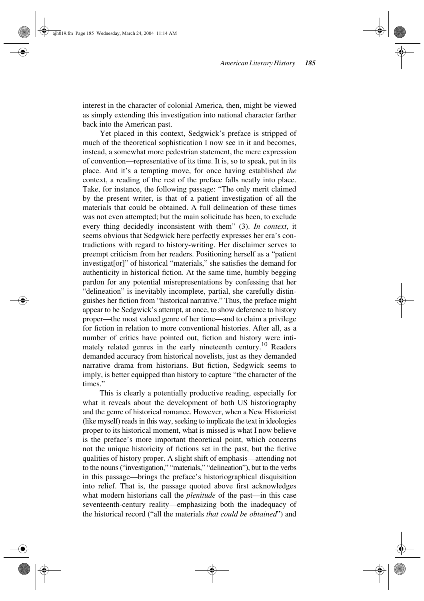interest in the character of colonial America, then, might be viewed as simply extending this investigation into national character farther back into the American past.

Yet placed in this context, Sedgwick's preface is stripped of much of the theoretical sophistication I now see in it and becomes, instead, a somewhat more pedestrian statement, the mere expression of convention—representative of its time. It is, so to speak, put in its place. And it's a tempting move, for once having established *the* context, a reading of the rest of the preface falls neatly into place. Take, for instance, the following passage: "The only merit claimed by the present writer, is that of a patient investigation of all the materials that could be obtained. A full delineation of these times was not even attempted; but the main solicitude has been, to exclude every thing decidedly inconsistent with them" (3). *In context*, it seems obvious that Sedgwick here perfectly expresses her era's contradictions with regard to history-writing. Her disclaimer serves to preempt criticism from her readers. Positioning herself as a "patient investigat[or]" of historical "materials," she satisfies the demand for authenticity in historical fiction. At the same time, humbly begging pardon for any potential misrepresentations by confessing that her "delineation" is inevitably incomplete, partial, she carefully distinguishes her fiction from "historical narrative." Thus, the preface might appear to be Sedgwick's attempt, at once, to show deference to history proper—the most valued genre of her time—and to claim a privilege for fiction in relation to more conventional histories. After all, as a number of critics have pointed out, fiction and history were intimately related genres in the early nineteenth century.<sup>10</sup> Readers demanded accuracy from historical novelists, just as they demanded narrative drama from historians. But fiction, Sedgwick seems to imply, is better equipped than history to capture "the character of the times"

This is clearly a potentially productive reading, especially for what it reveals about the development of both US historiography and the genre of historical romance. However, when a New Historicist (like myself) reads in this way, seeking to implicate the text in ideologies proper to its historical moment, what is missed is what I now believe is the preface's more important theoretical point, which concerns not the unique historicity of fictions set in the past, but the fictive qualities of history proper. A slight shift of emphasis—attending not to the nouns ("investigation," "materials," "delineation"), but to the verbs in this passage—brings the preface's historiographical disquisition into relief. That is, the passage quoted above first acknowledges what modern historians call the *plenitude* of the past—in this case seventeenth-century reality—emphasizing both the inadequacy of the historical record ("all the materials *that could be obtained*") and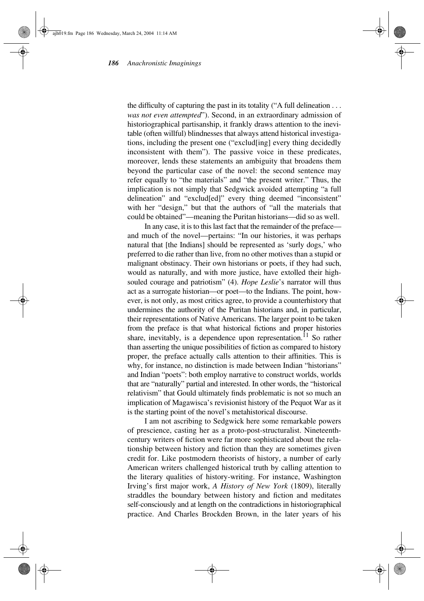the difficulty of capturing the past in its totality ("A full delineation  $\dots$ *was not even attempted*"). Second, in an extraordinary admission of historiographical partisanship, it frankly draws attention to the inevitable (often willful) blindnesses that always attend historical investigations, including the present one ("exclud[ing] every thing decidedly inconsistent with them"). The passive voice in these predicates, moreover, lends these statements an ambiguity that broadens them beyond the particular case of the novel: the second sentence may refer equally to "the materials" and "the present writer." Thus, the implication is not simply that Sedgwick avoided attempting "a full delineation" and "exclud[ed]" every thing deemed "inconsistent" with her "design," but that the authors of "all the materials that could be obtained"—meaning the Puritan historians—did so as well.

In any case, it is to this last fact that the remainder of the preface and much of the novel—pertains: "In our histories, it was perhaps natural that [the Indians] should be represented as 'surly dogs,' who preferred to die rather than live, from no other motives than a stupid or malignant obstinacy. Their own historians or poets, if they had such, would as naturally, and with more justice, have extolled their highsouled courage and patriotism" (4). *Hope Leslie*'s narrator will thus act as a surrogate historian—or poet—to the Indians. The point, however, is not only, as most critics agree, to provide a counterhistory that undermines the authority of the Puritan historians and, in particular, their representations of Native Americans. The larger point to be taken from the preface is that what historical fictions and proper histories share, inevitably, is a dependence upon representation.<sup>11</sup> So rather than asserting the unique possibilities of fiction as compared to history proper, the preface actually calls attention to their affinities. This is why, for instance, no distinction is made between Indian "historians" and Indian "poets": both employ narrative to construct worlds, worlds that are "naturally" partial and interested. In other words, the "historical relativism" that Gould ultimately finds problematic is not so much an implication of Magawisca's revisionist history of the Pequot War as it is the starting point of the novel's metahistorical discourse.

I am not ascribing to Sedgwick here some remarkable powers of prescience, casting her as a proto-post-structuralist. Nineteenthcentury writers of fiction were far more sophisticated about the relationship between history and fiction than they are sometimes given credit for. Like postmodern theorists of history, a number of early American writers challenged historical truth by calling attention to the literary qualities of history-writing. For instance, Washington Irving's first major work, *A History of New York* (1809), literally straddles the boundary between history and fiction and meditates self-consciously and at length on the contradictions in historiographical practice. And Charles Brockden Brown, in the later years of his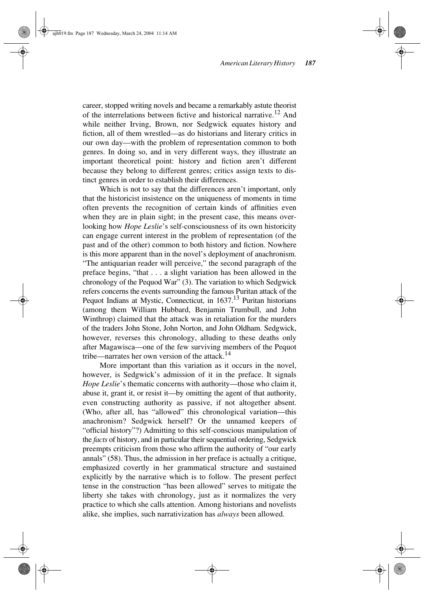career, stopped writing novels and became a remarkably astute theorist of the interrelations between fictive and historical narrative.<sup>12</sup> And while neither Irving, Brown, nor Sedgwick equates history and fiction, all of them wrestled—as do historians and literary critics in our own day—with the problem of representation common to both genres. In doing so, and in very different ways, they illustrate an important theoretical point: history and fiction aren't different because they belong to different genres; critics assign texts to distinct genres in order to establish their differences.

Which is not to say that the differences aren't important, only that the historicist insistence on the uniqueness of moments in time often prevents the recognition of certain kinds of afnities even when they are in plain sight; in the present case, this means overlooking how *Hope Leslie*'s self-consciousness of its own historicity can engage current interest in the problem of representation (of the past and of the other) common to both history and fiction. Nowhere is this more apparent than in the novel's deployment of anachronism. "The antiquarian reader will perceive," the second paragraph of the preface begins, "that . . . a slight variation has been allowed in the chronology of the Pequod War" (3). The variation to which Sedgwick refers concerns the events surrounding the famous Puritan attack of the Pequot Indians at Mystic, Connecticut, in 1637.<sup>13</sup> Puritan historians (among them William Hubbard, Benjamin Trumbull, and John Winthrop) claimed that the attack was in retaliation for the murders of the traders John Stone, John Norton, and John Oldham. Sedgwick, however, reverses this chronology, alluding to these deaths only after Magawisca—one of the few surviving members of the Pequot tribe—narrates her own version of the attack.<sup>14</sup>

More important than this variation as it occurs in the novel, however, is Sedgwick's admission of it in the preface. It signals *Hope Leslie*'s thematic concerns with authority—those who claim it, abuse it, grant it, or resist it—by omitting the agent of that authority, even constructing authority as passive, if not altogether absent. (Who, after all, has "allowed" this chronological variation—this anachronism? Sedgwick herself? Or the unnamed keepers of "official history"?) Admitting to this self-conscious manipulation of the *facts* of history, and in particular their sequential ordering, Sedgwick preempts criticism from those who affirm the authority of "our early" annals" (58). Thus, the admission in her preface is actually a critique, emphasized covertly in her grammatical structure and sustained explicitly by the narrative which is to follow. The present perfect tense in the construction "has been allowed" serves to mitigate the liberty she takes with chronology, just as it normalizes the very practice to which she calls attention. Among historians and novelists alike, she implies, such narrativization has *always* been allowed.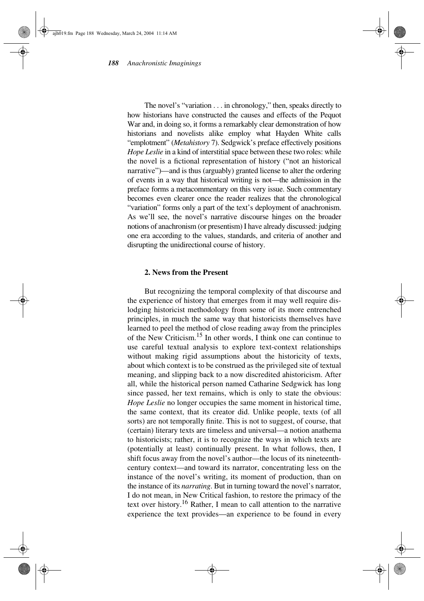The novel's "variation . . . in chronology," then, speaks directly to how historians have constructed the causes and effects of the Pequot War and, in doing so, it forms a remarkably clear demonstration of how historians and novelists alike employ what Hayden White calls "emplotment" (*Metahistory* 7). Sedgwick's preface effectively positions *Hope Leslie* in a kind of interstitial space between these two roles: while the novel is a fictional representation of history ("not an historical narrative")—and is thus (arguably) granted license to alter the ordering of events in a way that historical writing is not—the admission in the preface forms a metacommentary on this very issue. Such commentary becomes even clearer once the reader realizes that the chronological "variation" forms only a part of the text's deployment of anachronism. As we'll see, the novel's narrative discourse hinges on the broader notions of anachronism (or presentism) I have already discussed: judging one era according to the values, standards, and criteria of another and disrupting the unidirectional course of history.

## **2. News from the Present**

But recognizing the temporal complexity of that discourse and the experience of history that emerges from it may well require dislodging historicist methodology from some of its more entrenched principles, in much the same way that historicists themselves have learned to peel the method of close reading away from the principles of the New Criticism.15 In other words, I think one can continue to use careful textual analysis to explore text-context relationships without making rigid assumptions about the historicity of texts, about which context is to be construed as the privileged site of textual meaning, and slipping back to a now discredited ahistoricism. After all, while the historical person named Catharine Sedgwick has long since passed, her text remains, which is only to state the obvious: *Hope Leslie* no longer occupies the same moment in historical time, the same context, that its creator did. Unlike people, texts (of all sorts) are not temporally finite. This is not to suggest, of course, that (certain) literary texts are timeless and universal—a notion anathema to historicists; rather, it is to recognize the ways in which texts are (potentially at least) continually present. In what follows, then, I shift focus away from the novel's author—the locus of its nineteenthcentury context—and toward its narrator, concentrating less on the instance of the novel's writing, its moment of production, than on the instance of its *narrating*. But in turning toward the novel's narrator, I do not mean, in New Critical fashion, to restore the primacy of the text over history.<sup>16</sup> Rather, I mean to call attention to the narrative experience the text provides—an experience to be found in every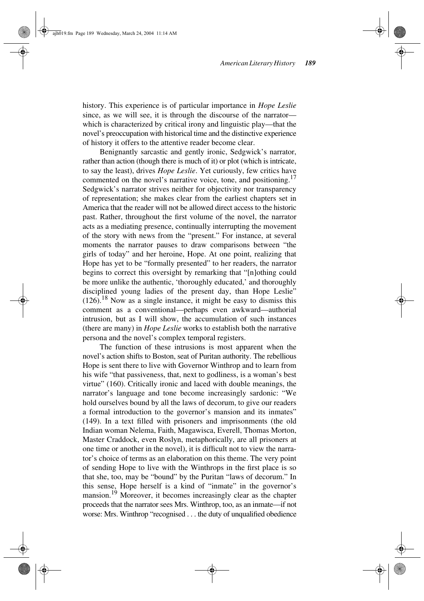history. This experience is of particular importance in *Hope Leslie* since, as we will see, it is through the discourse of the narrator which is characterized by critical irony and linguistic play—that the novel's preoccupation with historical time and the distinctive experience of history it offers to the attentive reader become clear.

Benignantly sarcastic and gently ironic, Sedgwick's narrator, rather than action (though there is much of it) or plot (which is intricate, to say the least), drives *Hope Leslie*. Yet curiously, few critics have commented on the novel's narrative voice, tone, and positioning.<sup>17</sup> Sedgwick's narrator strives neither for objectivity nor transparency of representation; she makes clear from the earliest chapters set in America that the reader will not be allowed direct access to the historic past. Rather, throughout the first volume of the novel, the narrator acts as a mediating presence, continually interrupting the movement of the story with news from the "present." For instance, at several moments the narrator pauses to draw comparisons between "the girls of today" and her heroine, Hope. At one point, realizing that Hope has yet to be "formally presented" to her readers, the narrator begins to correct this oversight by remarking that "[n]othing could be more unlike the authentic, 'thoroughly educated,' and thoroughly disciplined young ladies of the present day, than Hope Leslie"  $(126)$ .<sup>18</sup> Now as a single instance, it might be easy to dismiss this comment as a conventional—perhaps even awkward—authorial intrusion, but as I will show, the accumulation of such instances (there are many) in *Hope Leslie* works to establish both the narrative persona and the novel's complex temporal registers.

The function of these intrusions is most apparent when the novel's action shifts to Boston, seat of Puritan authority. The rebellious Hope is sent there to live with Governor Winthrop and to learn from his wife "that passiveness, that, next to godliness, is a woman's best virtue" (160). Critically ironic and laced with double meanings, the narrator's language and tone become increasingly sardonic: "We hold ourselves bound by all the laws of decorum, to give our readers a formal introduction to the governor's mansion and its inmates" (149). In a text glled with prisoners and imprisonments (the old Indian woman Nelema, Faith, Magawisca, Everell, Thomas Morton, Master Craddock, even Roslyn, metaphorically, are all prisoners at one time or another in the novel), it is difficult not to view the narrator's choice of terms as an elaboration on this theme. The very point of sending Hope to live with the Winthrops in the first place is so that she, too, may be "bound" by the Puritan "laws of decorum." In this sense, Hope herself is a kind of "inmate" in the governor's mansion.<sup>19</sup> Moreover, it becomes increasingly clear as the chapter proceeds that the narrator sees Mrs. Winthrop, too, as an inmate—if not worse: Mrs. Winthrop "recognised . . . the duty of unqualified obedience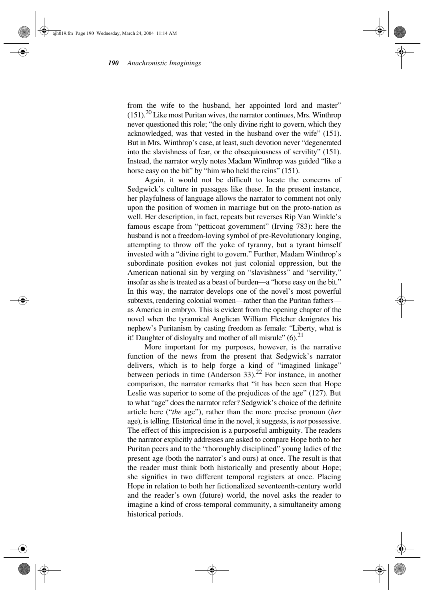from the wife to the husband, her appointed lord and master"  $(151)$ <sup>20</sup> Like most Puritan wives, the narrator continues, Mrs. Winthrop never questioned this role; "the only divine right to govern, which they acknowledged, was that vested in the husband over the wife" (151). But in Mrs. Winthrop's case, at least, such devotion never "degenerated into the slavishness of fear, or the obsequiousness of servility" (151). Instead, the narrator wryly notes Madam Winthrop was guided "like a horse easy on the bit" by "him who held the reins" (151).

Again, it would not be difficult to locate the concerns of Sedgwick's culture in passages like these. In the present instance, her playfulness of language allows the narrator to comment not only upon the position of women in marriage but on the proto-nation as well. Her description, in fact, repeats but reverses Rip Van Winkle's famous escape from "petticoat government" (Irving 783): here the husband is not a freedom-loving symbol of pre-Revolutionary longing, attempting to throw off the yoke of tyranny, but a tyrant himself invested with a "divine right to govern." Further, Madam Winthrop's subordinate position evokes not just colonial oppression, but the American national sin by verging on "slavishness" and "servility," insofar as she is treated as a beast of burden—a "horse easy on the bit." In this way, the narrator develops one of the novel's most powerful subtexts, rendering colonial women—rather than the Puritan fathers as America in embryo. This is evident from the opening chapter of the novel when the tyrannical Anglican William Fletcher denigrates his nephew's Puritanism by casting freedom as female: "Liberty, what is it! Daughter of disloyalty and mother of all misrule"  $(6)$ .<sup>21</sup>

More important for my purposes, however, is the narrative function of the news from the present that Sedgwick's narrator delivers, which is to help forge a kind of "imagined linkage" between periods in time (Anderson 33).<sup>22</sup> For instance, in another comparison, the narrator remarks that "it has been seen that Hope Leslie was superior to some of the prejudices of the age" (127). But to what "age" does the narrator refer? Sedgwick's choice of the definite article here ("*the* age"), rather than the more precise pronoun (*her* age), is telling. Historical time in the novel, it suggests, is *not* possessive. The effect of this imprecision is a purposeful ambiguity. The readers the narrator explicitly addresses are asked to compare Hope both to her Puritan peers and to the "thoroughly disciplined" young ladies of the present age (both the narrator's and ours) at once. The result is that the reader must think both historically and presently about Hope; she signifies in two different temporal registers at once. Placing Hope in relation to both her fictionalized seventeenth-century world and the reader's own (future) world, the novel asks the reader to imagine a kind of cross-temporal community, a simultaneity among historical periods.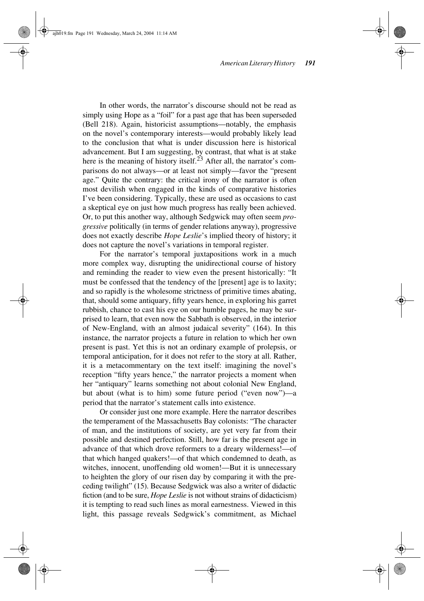In other words, the narrator's discourse should not be read as simply using Hope as a "foil" for a past age that has been superseded (Bell 218). Again, historicist assumptions—notably, the emphasis on the novel's contemporary interests—would probably likely lead to the conclusion that what is under discussion here is historical advancement. But I am suggesting, by contrast, that what is at stake here is the meaning of history itself.<sup>23</sup> After all, the narrator's comparisons do not always—or at least not simply—favor the "present age." Quite the contrary: the critical irony of the narrator is often most devilish when engaged in the kinds of comparative histories I've been considering. Typically, these are used as occasions to cast a skeptical eye on just how much progress has really been achieved. Or, to put this another way, although Sedgwick may often seem *progressive* politically (in terms of gender relations anyway), progressive does not exactly describe *Hope Leslie*'s implied theory of history; it does not capture the novel's variations in temporal register.

For the narrator's temporal juxtapositions work in a much more complex way, disrupting the unidirectional course of history and reminding the reader to view even the present historically: "It must be confessed that the tendency of the [present] age is to laxity; and so rapidly is the wholesome strictness of primitive times abating, that, should some antiquary, fifty years hence, in exploring his garret rubbish, chance to cast his eye on our humble pages, he may be surprised to learn, that even now the Sabbath is observed, in the interior of New-England, with an almost judaical severity" (164). In this instance, the narrator projects a future in relation to which her own present is past. Yet this is not an ordinary example of prolepsis, or temporal anticipation, for it does not refer to the story at all. Rather, it is a metacommentary on the text itself: imagining the novel's reception "fifty years hence," the narrator projects a moment when her "antiquary" learns something not about colonial New England, but about (what is to him) some future period ("even now")—a period that the narrator's statement calls into existence.

Or consider just one more example. Here the narrator describes the temperament of the Massachusetts Bay colonists: "The character of man, and the institutions of society, are yet very far from their possible and destined perfection. Still, how far is the present age in advance of that which drove reformers to a dreary wilderness!—of that which hanged quakers!—of that which condemned to death, as witches, innocent, unoffending old women!—But it is unnecessary to heighten the glory of our risen day by comparing it with the preceding twilight" (15). Because Sedgwick was also a writer of didactic fiction (and to be sure, *Hope Leslie* is not without strains of didacticism) it is tempting to read such lines as moral earnestness. Viewed in this light, this passage reveals Sedgwick's commitment, as Michael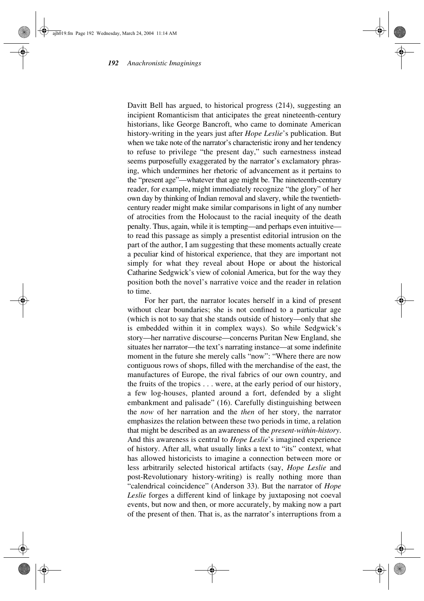Davitt Bell has argued, to historical progress (214), suggesting an incipient Romanticism that anticipates the great nineteenth-century historians, like George Bancroft, who came to dominate American history-writing in the years just after *Hope Leslie*'s publication. But when we take note of the narrator's characteristic irony and her tendency to refuse to privilege "the present day," such earnestness instead seems purposefully exaggerated by the narrator's exclamatory phrasing, which undermines her rhetoric of advancement as it pertains to the "present age"—whatever that age might be. The nineteenth-century reader, for example, might immediately recognize "the glory" of her own day by thinking of Indian removal and slavery, while the twentiethcentury reader might make similar comparisons in light of any number of atrocities from the Holocaust to the racial inequity of the death penalty. Thus, again, while it is tempting—and perhaps even intuitive to read this passage as simply a presentist editorial intrusion on the part of the author, I am suggesting that these moments actually create a peculiar kind of historical experience, that they are important not simply for what they reveal about Hope or about the historical Catharine Sedgwick's view of colonial America, but for the way they position both the novel's narrative voice and the reader in relation to time.

For her part, the narrator locates herself in a kind of present without clear boundaries; she is not confined to a particular age (which is not to say that she stands outside of history—only that she is embedded within it in complex ways). So while Sedgwick's story—her narrative discourse—concerns Puritan New England, she situates her narrator—the text's narrating instance—at some indefinite moment in the future she merely calls "now": "Where there are now contiguous rows of shops, filled with the merchandise of the east, the manufactures of Europe, the rival fabrics of our own country, and the fruits of the tropics . . . were, at the early period of our history, a few log-houses, planted around a fort, defended by a slight embankment and palisade" (16). Carefully distinguishing between the *now* of her narration and the *then* of her story, the narrator emphasizes the relation between these two periods in time, a relation that might be described as an awareness of the *present-within-history*. And this awareness is central to *Hope Leslie*'s imagined experience of history. After all, what usually links a text to "its" context, what has allowed historicists to imagine a connection between more or less arbitrarily selected historical artifacts (say, *Hope Leslie* and post-Revolutionary history-writing) is really nothing more than "calendrical coincidence" (Anderson 33). But the narrator of *Hope* Leslie forges a different kind of linkage by juxtaposing not coeval events, but now and then, or more accurately, by making now a part of the present of then. That is, as the narrator's interruptions from a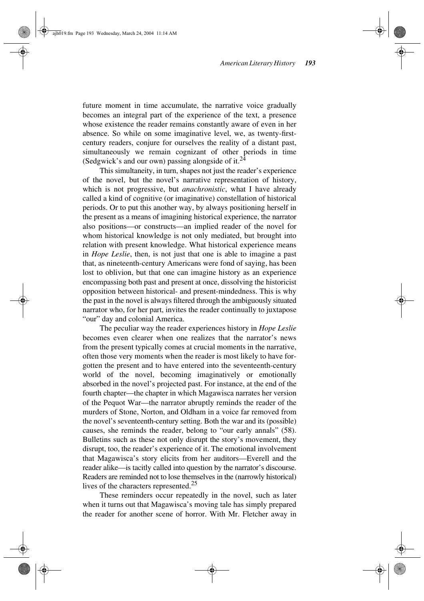future moment in time accumulate, the narrative voice gradually becomes an integral part of the experience of the text, a presence whose existence the reader remains constantly aware of even in her absence. So while on some imaginative level, we, as twenty-firstcentury readers, conjure for ourselves the reality of a distant past, simultaneously we remain cognizant of other periods in time (Sedgwick's and our own) passing alongside of it. $2<sup>2</sup>$ 

This simultaneity, in turn, shapes not just the reader's experience of the novel, but the novel's narrative representation of history, which is not progressive, but *anachronistic*, what I have already called a kind of cognitive (or imaginative) constellation of historical periods. Or to put this another way, by always positioning herself in the present as a means of imagining historical experience, the narrator also positions—or constructs—an implied reader of the novel for whom historical knowledge is not only mediated, but brought into relation with present knowledge. What historical experience means in *Hope Leslie*, then, is not just that one is able to imagine a past that, as nineteenth-century Americans were fond of saying, has been lost to oblivion, but that one can imagine history as an experience encompassing both past and present at once, dissolving the historicist opposition between historical- and present-mindedness. This is why the past in the novel is always filtered through the ambiguously situated narrator who, for her part, invites the reader continually to juxtapose "our" day and colonial America.

The peculiar way the reader experiences history in *Hope Leslie* becomes even clearer when one realizes that the narrator's news from the present typically comes at crucial moments in the narrative, often those very moments when the reader is most likely to have forgotten the present and to have entered into the seventeenth-century world of the novel, becoming imaginatively or emotionally absorbed in the novel's projected past. For instance, at the end of the fourth chapter—the chapter in which Magawisca narrates her version of the Pequot War—the narrator abruptly reminds the reader of the murders of Stone, Norton, and Oldham in a voice far removed from the novel's seventeenth-century setting. Both the war and its (possible) causes, she reminds the reader, belong to "our early annals" (58). Bulletins such as these not only disrupt the story's movement, they disrupt, too, the reader's experience of it. The emotional involvement that Magawisca's story elicits from her auditors—Everell and the reader alike—is tacitly called into question by the narrator's discourse. Readers are reminded not to lose themselves in the (narrowly historical) lives of the characters represented.<sup>25</sup>

These reminders occur repeatedly in the novel, such as later when it turns out that Magawisca's moving tale has simply prepared the reader for another scene of horror. With Mr. Fletcher away in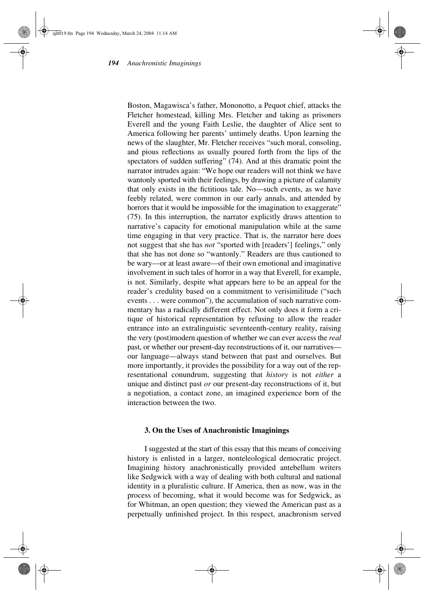Boston, Magawisca's father, Mononotto, a Pequot chief, attacks the Fletcher homestead, killing Mrs. Fletcher and taking as prisoners Everell and the young Faith Leslie, the daughter of Alice sent to America following her parents' untimely deaths. Upon learning the news of the slaughter, Mr. Fletcher receives "such moral, consoling, and pious rehections as usually poured forth from the lips of the spectators of sudden suffering"  $(74)$ . And at this dramatic point the narrator intrudes again: "We hope our readers will not think we have wantonly sported with their feelings, by drawing a picture of calamity that only exists in the fictitious tale. No—such events, as we have feebly related, were common in our early annals, and attended by horrors that it would be impossible for the imagination to exaggerate" (75). In this interruption, the narrator explicitly draws attention to narrative's capacity for emotional manipulation while at the same time engaging in that very practice. That is, the narrator here does not suggest that she has *not* "sported with [readers'] feelings," only that she has not done so "wantonly." Readers are thus cautioned to be wary—or at least aware—of their own emotional and imaginative involvement in such tales of horror in a way that Everell, for example, is not. Similarly, despite what appears here to be an appeal for the reader's credulity based on a commitment to verisimilitude ("such events . . . were common"), the accumulation of such narrative commentary has a radically different effect. Not only does it form a critique of historical representation by refusing to allow the reader entrance into an extralinguistic seventeenth-century reality, raising the very (post)modern question of whether we can ever access the *real* past, or whether our present-day reconstructions of it, our narratives our language—always stand between that past and ourselves. But more importantly, it provides the possibility for a way out of the representational conundrum, suggesting that *history* is not *either* a unique and distinct past *or* our present-day reconstructions of it, but a negotiation, a contact zone, an imagined experience born of the interaction between the two.

# **3. On the Uses of Anachronistic Imaginings**

I suggested at the start of this essay that this means of conceiving history is enlisted in a larger, nonteleological democratic project. Imagining history anachronistically provided antebellum writers like Sedgwick with a way of dealing with both cultural and national identity in a pluralistic culture. If America, then as now, was in the process of becoming, what it would become was for Sedgwick, as for Whitman, an open question; they viewed the American past as a perpetually unfinished project. In this respect, anachronism served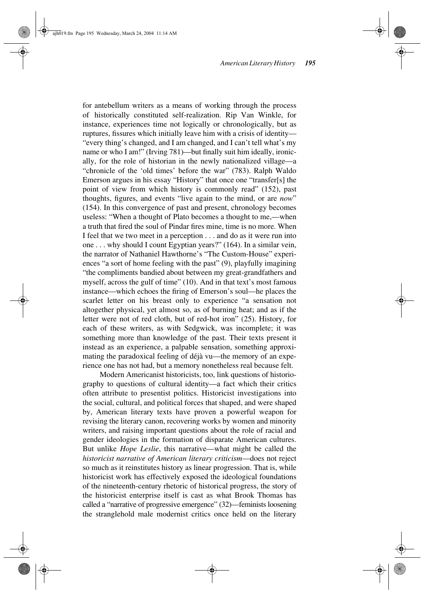for antebellum writers as a means of working through the process of historically constituted self-realization. Rip Van Winkle, for instance, experiences time not logically or chronologically, but as ruptures, fissures which initially leave him with a crisis of identity— "every thing's changed, and I am changed, and I can't tell what's my name or who I am!" (Irving 781)—but finally suit him ideally, ironically, for the role of historian in the newly nationalized village—a "chronicle of the 'old times' before the war" (783). Ralph Waldo Emerson argues in his essay "History" that once one "transfer[s] the point of view from which history is commonly read" (152), past thoughts, figures, and events "live again to the mind, or are *now*" (154). In this convergence of past and present, chronology becomes useless: "When a thought of Plato becomes a thought to me,—when a truth that fired the soul of Pindar fires mine, time is no more. When I feel that we two meet in a perception . . . and do as it were run into one . . . why should I count Egyptian years?" (164). In a similar vein, the narrator of Nathaniel Hawthorne's "The Custom-House" experiences "a sort of home feeling with the past" (9), playfully imagining "the compliments bandied about between my great-grandfathers and myself, across the gulf of time" (10). And in that text's most famous instance—which echoes the firing of Emerson's soul—he places the scarlet letter on his breast only to experience "a sensation not altogether physical, yet almost so, as of burning heat; and as if the letter were not of red cloth, but of red-hot iron" (25). History, for each of these writers, as with Sedgwick, was incomplete; it was something more than knowledge of the past. Their texts present it instead as an experience, a palpable sensation, something approximating the paradoxical feeling of déjà vu—the memory of an experience one has not had, but a memory nonetheless real because felt.

Modern Americanist historicists, too, link questions of historiography to questions of cultural identity—a fact which their critics often attribute to presentist politics. Historicist investigations into the social, cultural, and political forces that shaped, and were shaped by, American literary texts have proven a powerful weapon for revising the literary canon, recovering works by women and minority writers, and raising important questions about the role of racial and gender ideologies in the formation of disparate American cultures. But unlike *Hope Leslie*, this narrative—what might be called the *historicist narrative of American literary criticism*—does not reject so much as it reinstitutes history as linear progression. That is, while historicist work has effectively exposed the ideological foundations of the nineteenth-century rhetoric of historical progress, the story of the historicist enterprise itself is cast as what Brook Thomas has called a "narrative of progressive emergence" (32)—feminists loosening the stranglehold male modernist critics once held on the literary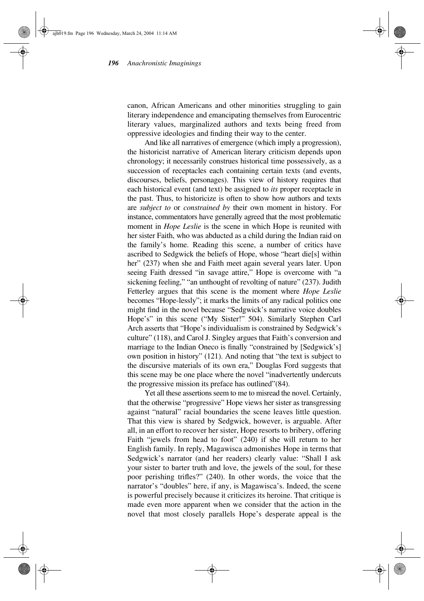canon, African Americans and other minorities struggling to gain literary independence and emancipating themselves from Eurocentric literary values, marginalized authors and texts being freed from oppressive ideologies and finding their way to the center.

And like all narratives of emergence (which imply a progression), the historicist narrative of American literary criticism depends upon chronology; it necessarily construes historical time possessively, as a succession of receptacles each containing certain texts (and events, discourses, beliefs, personages). This view of history requires that each historical event (and text) be assigned to *its* proper receptacle in the past. Thus, to historicize is often to show how authors and texts are *subject to* or *constrained by* their own moment in history. For instance, commentators have generally agreed that the most problematic moment in *Hope Leslie* is the scene in which Hope is reunited with her sister Faith, who was abducted as a child during the Indian raid on the family's home. Reading this scene, a number of critics have ascribed to Sedgwick the beliefs of Hope, whose "heart die[s] within her" (237) when she and Faith meet again several years later. Upon seeing Faith dressed "in savage attire," Hope is overcome with "a sickening feeling," "an unthought of revolting of nature" (237). Judith Fetterley argues that this scene is the moment where *Hope Leslie* becomes "Hope-lessly"; it marks the limits of any radical politics one might find in the novel because "Sedgwick's narrative voice doubles Hope's" in this scene ("My Sister!" 504). Similarly Stephen Carl Arch asserts that "Hope's individualism is constrained by Sedgwick's culture" (118), and Carol J. Singley argues that Faith's conversion and marriage to the Indian Oneco is finally "constrained by [Sedgwick's] own position in history" (121). And noting that "the text is subject to the discursive materials of its own era," Douglas Ford suggests that this scene may be one place where the novel "inadvertently undercuts the progressive mission its preface has outlined"(84).

Yet all these assertions seem to me to misread the novel. Certainly, that the otherwise "progressive" Hope views her sister as transgressing against "natural" racial boundaries the scene leaves little question. That this view is shared by Sedgwick, however, is arguable. After all, in an effort to recover her sister, Hope resorts to bribery, offering Faith "jewels from head to foot" (240) if she will return to her English family. In reply, Magawisca admonishes Hope in terms that Sedgwick's narrator (and her readers) clearly value: "Shall I ask your sister to barter truth and love, the jewels of the soul, for these poor perishing trihes?" (240). In other words, the voice that the narrator's "doubles" here, if any, is Magawisca's. Indeed, the scene is powerful precisely because it criticizes its heroine. That critique is made even more apparent when we consider that the action in the novel that most closely parallels Hope's desperate appeal is the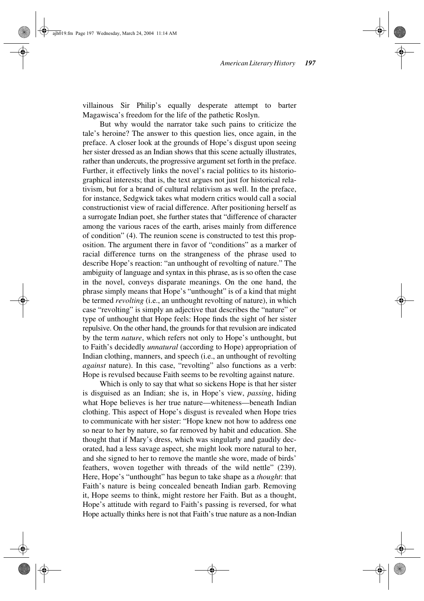villainous Sir Philip's equally desperate attempt to barter Magawisca's freedom for the life of the pathetic Roslyn.

But why would the narrator take such pains to criticize the tale's heroine? The answer to this question lies, once again, in the preface. A closer look at the grounds of Hope's disgust upon seeing her sister dressed as an Indian shows that this scene actually illustrates, rather than undercuts, the progressive argument set forth in the preface. Further, it effectively links the novel's racial politics to its historiographical interests; that is, the text argues not just for historical relativism, but for a brand of cultural relativism as well. In the preface, for instance, Sedgwick takes what modern critics would call a social constructionist view of racial difference. After positioning herself as a surrogate Indian poet, she further states that "difference of character" among the various races of the earth, arises mainly from difference of condition" (4). The reunion scene is constructed to test this proposition. The argument there in favor of "conditions" as a marker of racial difference turns on the strangeness of the phrase used to describe Hope's reaction: "an unthought of revolting of nature." The ambiguity of language and syntax in this phrase, as is so often the case in the novel, conveys disparate meanings. On the one hand, the phrase simply means that Hope's "unthought" is of a kind that might be termed *revolting* (i.e., an unthought revolting of nature), in which case "revolting" is simply an adjective that describes the "nature" or type of unthought that Hope feels: Hope finds the sight of her sister repulsive. On the other hand, the grounds for that revulsion are indicated by the term *nature*, which refers not only to Hope's unthought, but to Faith's decidedly *unnatural* (according to Hope) appropriation of Indian clothing, manners, and speech (i.e., an unthought of revolting *against* nature). In this case, "revolting" also functions as a verb: Hope is revulsed because Faith seems to be revolting against nature.

Which is only to say that what so sickens Hope is that her sister is disguised as an Indian; she is, in Hope's view, *passing*, hiding what Hope believes is her true nature—whiteness—beneath Indian clothing. This aspect of Hope's disgust is revealed when Hope tries to communicate with her sister: "Hope knew not how to address one so near to her by nature, so far removed by habit and education. She thought that if Mary's dress, which was singularly and gaudily decorated, had a less savage aspect, she might look more natural to her, and she signed to her to remove the mantle she wore, made of birds' feathers, woven together with threads of the wild nettle" (239). Here, Hope's "unthought" has begun to take shape as a *thought*: that Faith's nature is being concealed beneath Indian garb. Removing it, Hope seems to think, might restore her Faith. But as a thought, Hope's attitude with regard to Faith's passing is reversed, for what Hope actually thinks here is not that Faith's true nature as a non-Indian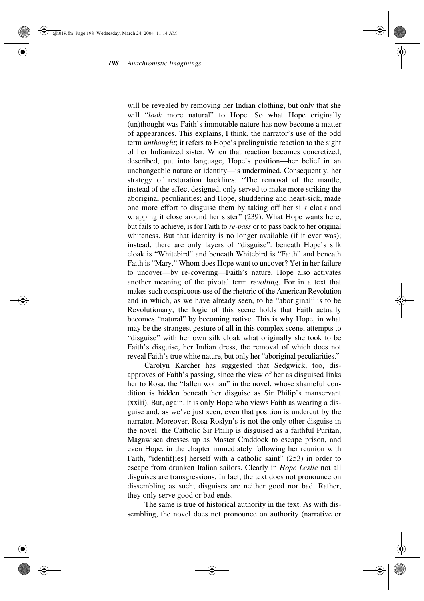will be revealed by removing her Indian clothing, but only that she will "*look* more natural" to Hope. So what Hope originally (un)thought was Faith's immutable nature has now become a matter of appearances. This explains, I think, the narrator's use of the odd term *unthought*; it refers to Hope's prelinguistic reaction to the sight of her Indianized sister. When that reaction becomes concretized, described, put into language, Hope's position—her belief in an unchangeable nature or identity—is undermined. Consequently, her strategy of restoration backfires: "The removal of the mantle, instead of the effect designed, only served to make more striking the aboriginal peculiarities; and Hope, shuddering and heart-sick, made one more effort to disguise them by taking off her silk cloak and wrapping it close around her sister" (239). What Hope wants here, but fails to achieve, is for Faith to *re-pass* or to pass back to her original whiteness. But that identity is no longer available (if it ever was); instead, there are only layers of "disguise": beneath Hope's silk cloak is "Whitebird" and beneath Whitebird is "Faith" and beneath Faith is "Mary." Whom does Hope want to uncover? Yet in her failure to uncover—by re-covering—Faith's nature, Hope also activates another meaning of the pivotal term *revolting*. For in a text that makes such conspicuous use of the rhetoric of the American Revolution and in which, as we have already seen, to be "aboriginal" is to be Revolutionary, the logic of this scene holds that Faith actually becomes "natural" by becoming native. This is why Hope, in what may be the strangest gesture of all in this complex scene, attempts to "disguise" with her own silk cloak what originally she took to be Faith's disguise, her Indian dress, the removal of which does not reveal Faith's true white nature, but only her "aboriginal peculiarities."

Carolyn Karcher has suggested that Sedgwick, too, disapproves of Faith's passing, since the view of her as disguised links her to Rosa, the "fallen woman" in the novel, whose shameful condition is hidden beneath her disguise as Sir Philip's manservant (xxiii). But, again, it is only Hope who views Faith as wearing a disguise and, as we've just seen, even that position is undercut by the narrator. Moreover, Rosa-Roslyn's is not the only other disguise in the novel: the Catholic Sir Philip is disguised as a faithful Puritan, Magawisca dresses up as Master Craddock to escape prison, and even Hope, in the chapter immediately following her reunion with Faith, "identiffies] herself with a catholic saint" (253) in order to escape from drunken Italian sailors. Clearly in *Hope Leslie* not all disguises are transgressions. In fact, the text does not pronounce on dissembling as such; disguises are neither good nor bad. Rather, they only serve good or bad ends.

The same is true of historical authority in the text. As with dissembling, the novel does not pronounce on authority (narrative or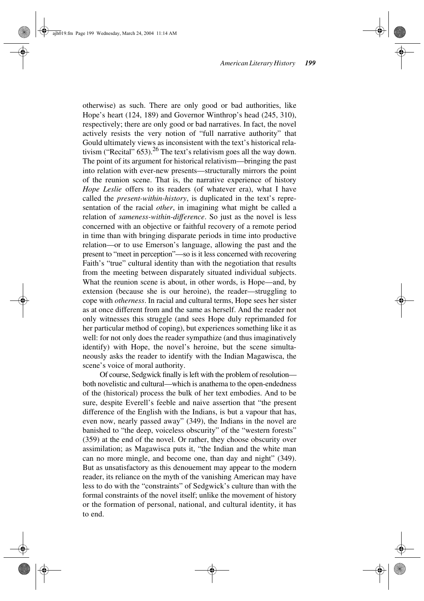otherwise) as such. There are only good or bad authorities, like Hope's heart (124, 189) and Governor Winthrop's head (245, 310), respectively; there are only good or bad narratives. In fact, the novel actively resists the very notion of "full narrative authority" that Gould ultimately views as inconsistent with the text's historical relativism ("Recital"  $653$ ).<sup>26</sup> The text's relativism goes all the way down. The point of its argument for historical relativism—bringing the past into relation with ever-new presents—structurally mirrors the point of the reunion scene. That is, the narrative experience of history *Hope Leslie* offers to its readers (of whatever era), what I have called the *present-within-history*, is duplicated in the text's representation of the racial *other*, in imagining what might be called a relation of *sameness-within-diierence*. So just as the novel is less concerned with an objective or faithful recovery of a remote period in time than with bringing disparate periods in time into productive relation—or to use Emerson's language, allowing the past and the present to "meet in perception"—so is it less concerned with recovering Faith's "true" cultural identity than with the negotiation that results from the meeting between disparately situated individual subjects. What the reunion scene is about, in other words, is Hope—and, by extension (because she is our heroine), the reader—struggling to cope with *otherness*. In racial and cultural terms, Hope sees her sister as at once different from and the same as herself. And the reader not only witnesses this struggle (and sees Hope duly reprimanded for her particular method of coping), but experiences something like it as well: for not only does the reader sympathize (and thus imaginatively identify) with Hope, the novel's heroine, but the scene simultaneously asks the reader to identify with the Indian Magawisca, the scene's voice of moral authority.

Of course, Sedgwick finally is left with the problem of resolution both novelistic and cultural—which is anathema to the open-endedness of the (historical) process the bulk of her text embodies. And to be sure, despite Everell's feeble and naive assertion that "the present difference of the English with the Indians, is but a vapour that has, even now, nearly passed away" (349), the Indians in the novel are banished to "the deep, voiceless obscurity" of the "western forests" (359) at the end of the novel. Or rather, they choose obscurity over assimilation; as Magawisca puts it, "the Indian and the white man can no more mingle, and become one, than day and night" (349). But as unsatisfactory as this denouement may appear to the modern reader, its reliance on the myth of the vanishing American may have less to do with the "constraints" of Sedgwick's culture than with the formal constraints of the novel itself; unlike the movement of history or the formation of personal, national, and cultural identity, it has to end.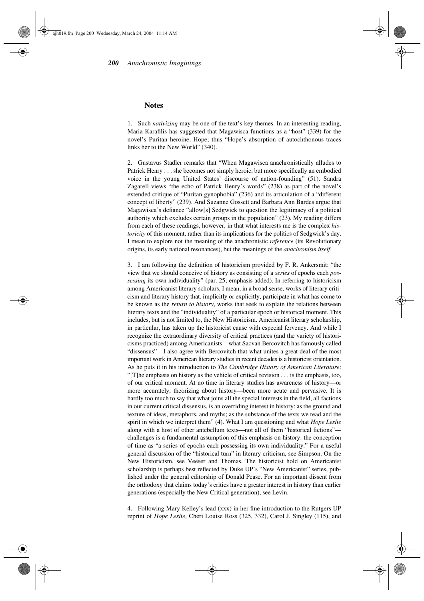#### **Notes**

1. Such *nativizing* may be one of the text's key themes. In an interesting reading, Maria Karafilis has suggested that Magawisca functions as a "host" (339) for the novel's Puritan heroine, Hope; thus "Hope's absorption of autochthonous traces links her to the New World" (340).

2. Gustavus Stadler remarks that "When Magawisca anachronistically alludes to Patrick Henry . . . she becomes not simply heroic, but more specifically an embodied voice in the young United States' discourse of nation-founding" (51). Sandra Zagarell views "the echo of Patrick Henry's words" (238) as part of the novel's extended critique of "Puritan gynophobia" (236) and its articulation of a "different concept of liberty" (239). And Suzanne Gossett and Barbara Ann Bardes argue that Magawisca's defiance "allow[s] Sedgwick to question the legitimacy of a political authority which excludes certain groups in the population" (23). My reading differs from each of these readings, however, in that what interests me is the complex *historicity* of this moment, rather than its implications for the politics of Sedgwick's day. I mean to explore not the meaning of the anachronistic *reference* (its Revolutionary origins, its early national resonances), but the meanings of the *anachronism itself*.

3. I am following the degnition of historicism provided by F. R. Ankersmit: "the view that we should conceive of history as consisting of a *series* of epochs each *possessing* its own individuality" (par. 25; emphasis added). In referring to historicism among Americanist literary scholars, I mean, in a broad sense, works of literary criticism and literary history that, implicitly or explicitly, participate in what has come to be known as the *return to history*, works that seek to explain the relations between literary texts and the "individuality" of a particular epoch or historical moment. This includes, but is not limited to, the New Historicism. Americanist literary scholarship, in particular, has taken up the historicist cause with especial fervency. And while I recognize the extraordinary diversity of critical practices (and the variety of historicisms practiced) among Americanists—what Sacvan Bercovitch has famously called "dissensus"—I also agree with Bercovitch that what unites a great deal of the most important work in American literary studies in recent decades is a historicist orientation. As he puts it in his introduction to *The Cambridge History of American Literature*: "[T]he emphasis on history as the vehicle of critical revision . . . is the emphasis, too, of our critical moment. At no time in literary studies has awareness of history—or more accurately, theorizing about history—been more acute and pervasive. It is hardly too much to say that what joins all the special interests in the field, all factions in our current critical dissensus, is an overriding interest in history: as the ground and texture of ideas, metaphors, and myths; as the substance of the texts we read and the spirit in which we interpret them" (4). What I am questioning and what *Hope Leslie* along with a host of other antebellum texts—not all of them "historical fictions" challenges is a fundamental assumption of this emphasis on history: the conception of time as "a series of epochs each possessing its own individuality." For a useful general discussion of the "historical turn" in literary criticism, see Simpson. On the New Historicism, see Veeser and Thomas. The historicist hold on Americanist scholarship is perhaps best reflected by Duke UP's "New Americanist" series, published under the general editorship of Donald Pease. For an important dissent from the orthodoxy that claims today's critics have a greater interest in history than earlier generations (especially the New Critical generation), see Levin.

4. Following Mary Kelley's lead (xxx) in her fine introduction to the Rutgers UP reprint of *Hope Leslie*, Cheri Louise Ross (325, 332), Carol J. Singley (115), and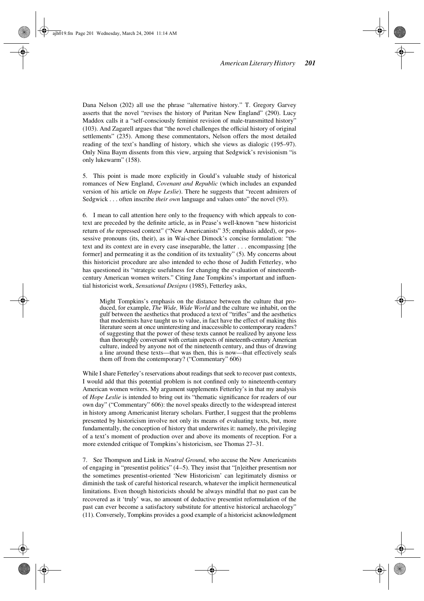Dana Nelson (202) all use the phrase "alternative history." T. Gregory Garvey asserts that the novel "revises the history of Puritan New England" (290). Lucy Maddox calls it a "self-consciously feminist revision of male-transmitted history"  $(103)$ . And Zagarell argues that "the novel challenges the official history of original settlements" (235). Among these commentators, Nelson offers the most detailed reading of the text's handling of history, which she views as dialogic (195–97). Only Nina Baym dissents from this view, arguing that Sedgwick's revisionism "is only lukewarm" (158).

5. This point is made more explicitly in Gould's valuable study of historical romances of New England, *Covenant and Republic* (which includes an expanded version of his article on *Hope Leslie*). There he suggests that "recent admirers of Sedgwick . . . often inscribe *their own* language and values onto" the novel (93).

6. I mean to call attention here only to the frequency with which appeals to context are preceded by the definite article, as in Pease's well-known "new historicist return of *the* repressed context" ("New Americanists" 35; emphasis added), or possessive pronouns (its, their), as in Wai-chee Dimock's concise formulation: "the text and its context are in every case inseparable, the latter . . . encompassing [the former] and permeating it as the condition of its textuality" (5). My concerns about this historicist procedure are also intended to echo those of Judith Fetterley, who has questioned its "strategic usefulness for changing the evaluation of nineteenthcentury American women writers." Citing Jane Tompkins's important and inhuential historicist work, *Sensational Designs* (1985), Fetterley asks,

Might Tompkins's emphasis on the distance between the culture that produced, for example, *The Wide, Wide World* and the culture we inhabit, on the gulf between the aesthetics that produced a text of "trihes" and the aesthetics that modernists have taught us to value, in fact have the effect of making this literature seem at once uninteresting and inaccessible to contemporary readers? of suggesting that the power of these texts cannot be realized by anyone less than thoroughly conversant with certain aspects of nineteenth-century American culture, indeed by anyone not of the nineteenth century, and thus of drawing a line around these texts—that was then, this is now—that effectively seals them off from the contemporary? ("Commentary" 606)

While I share Fetterley's reservations about readings that seek to recover past contexts, I would add that this potential problem is not confined only to nineteenth-century American women writers. My argument supplements Fetterley's in that my analysis of *Hope Leslie* is intended to bring out its "thematic signigcance for readers of our own day" ("Commentary" 606): the novel speaks directly to the widespread interest in history among Americanist literary scholars. Further, I suggest that the problems presented by historicism involve not only its means of evaluating texts, but, more fundamentally, the conception of history that underwrites it: namely, the privileging of a text's moment of production over and above its moments of reception. For a more extended critique of Tompkins's historicism, see Thomas 27–31.

7. See Thompson and Link in *Neutral Ground*, who accuse the New Americanists of engaging in "presentist politics" (4–5). They insist that "[n]either presentism nor the sometimes presentist-oriented 'New Historicism' can legitimately dismiss or diminish the task of careful historical research, whatever the implicit hermeneutical limitations. Even though historicists should be always mindful that no past can be recovered as it 'truly' was, no amount of deductive presentist reformulation of the past can ever become a satisfactory substitute for attentive historical archaeology" (11). Conversely, Tompkins provides a good example of a historicist acknowledgment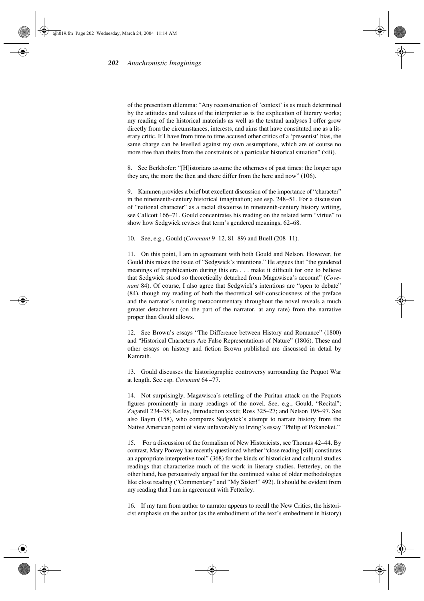of the presentism dilemma: "Any reconstruction of 'context' is as much determined by the attitudes and values of the interpreter as is the explication of literary works; my reading of the historical materials as well as the textual analyses I offer grow directly from the circumstances, interests, and aims that have constituted me as a literary critic. If I have from time to time accused other critics of a 'presentist' bias, the same charge can be levelled against my own assumptions, which are of course no more free than theirs from the constraints of a particular historical situation" (xiii).

8. See Berkhofer: "[H]istorians assume the otherness of past times: the longer ago they are, the more the then and there differ from the here and now" (106).

9. Kammen provides a brief but excellent discussion of the importance of "character" in the nineteenth-century historical imagination; see esp. 248–51. For a discussion of "national character" as a racial discourse in nineteenth-century history writing, see Callcott 166–71. Gould concentrates his reading on the related term "virtue" to show how Sedgwick revises that term's gendered meanings, 62–68.

10. See, e.g., Gould (*Covenant* 9–12, 81–89) and Buell (208–11).

11. On this point, I am in agreement with both Gould and Nelson. However, for Gould this raises the issue of "Sedgwick's intentions." He argues that "the gendered meanings of republicanism during this era . . . make it difficult for one to believe that Sedgwick stood so theoretically detached from Magawisca's account" (*Covenant* 84). Of course, I also agree that Sedgwick's intentions are "open to debate" (84), though my reading of both the theoretical self-consciousness of the preface and the narrator's running metacommentary throughout the novel reveals a much greater detachment (on the part of the narrator, at any rate) from the narrative proper than Gould allows.

12. See Brown's essays "The Difference between History and Romance" (1800) and "Historical Characters Are False Representations of Nature" (1806). These and other essays on history and fiction Brown published are discussed in detail by Kamrath.

13. Gould discusses the historiographic controversy surrounding the Pequot War at length. See esp. *Covenant* 64 –77.

14. Not surprisingly, Magawisca's retelling of the Puritan attack on the Pequots figures prominently in many readings of the novel. See, e.g., Gould, "Recital"; Zagarell 234–35; Kelley, Introduction xxxii; Ross 325–27; and Nelson 195–97. See also Baym (158), who compares Sedgwick's attempt to narrate history from the Native American point of view unfavorably to Irving's essay "Philip of Pokanoket."

15. For a discussion of the formalism of New Historicists, see Thomas 42–44. By contrast, Mary Poovey has recently questioned whether "close reading [still] constitutes an appropriate interpretive tool" (368) for the kinds of historicist and cultural studies readings that characterize much of the work in literary studies. Fetterley, on the other hand, has persuasively argued for the continued value of older methodologies like close reading ("Commentary" and "My Sister!" 492). It should be evident from my reading that I am in agreement with Fetterley.

16. If my turn from author to narrator appears to recall the New Critics, the historicist emphasis on the author (as the embodiment of the text's embedment in history)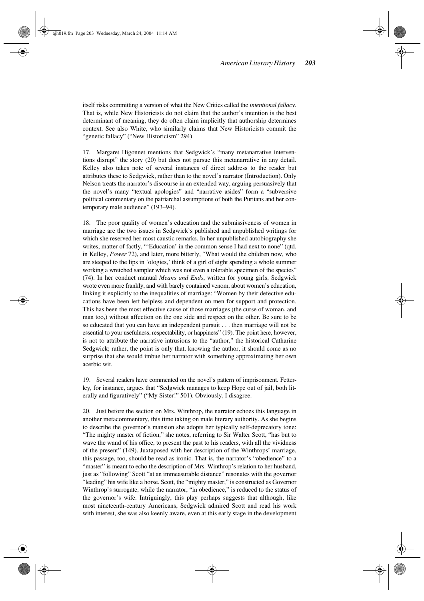itself risks committing a version of what the New Critics called the *intentional fallacy*. That is, while New Historicists do not claim that the author's intention is the best determinant of meaning, they do often claim implicitly that authorship determines context. See also White, who similarly claims that New Historicists commit the "genetic fallacy" ("New Historicism" 294).

17. Margaret Higonnet mentions that Sedgwick's "many metanarrative interventions disrupt" the story (20) but does not pursue this metanarrative in any detail. Kelley also takes note of several instances of direct address to the reader but attributes these to Sedgwick, rather than to the novel's narrator (Introduction). Only Nelson treats the narrator's discourse in an extended way, arguing persuasively that the novel's many "textual apologies" and "narrative asides" form a "subversive political commentary on the patriarchal assumptions of both the Puritans and her contemporary male audience" (193–94).

18. The poor quality of women's education and the submissiveness of women in marriage are the two issues in Sedgwick's published and unpublished writings for which she reserved her most caustic remarks. In her unpublished autobiography she writes, matter of factly, "'Education' in the common sense I had next to none" (qtd. in Kelley, *Power* 72), and later, more bitterly, "What would the children now, who are steeped to the lips in 'ologies,' think of a girl of eight spending a whole summer working a wretched sampler which was not even a tolerable specimen of the species" (74). In her conduct manual *Means and Ends*, written for young girls, Sedgwick wrote even more frankly, and with barely contained venom, about women's education, linking it explicitly to the inequalities of marriage: "Women by their defective educations have been left helpless and dependent on men for support and protection. This has been the most effective cause of those marriages (the curse of woman, and man too,) without affection on the one side and respect on the other. Be sure to be so educated that you can have an independent pursuit . . . then marriage will not be essential to your usefulness, respectability, or happiness" (19). The point here, however, is not to attribute the narrative intrusions to the "author," the historical Catharine Sedgwick; rather, the point is only that, knowing the author, it should come as no surprise that she would imbue her narrator with something approximating her own acerbic wit.

19. Several readers have commented on the novel's pattern of imprisonment. Fetterley, for instance, argues that "Sedgwick manages to keep Hope out of jail, both literally and figuratively" ("My Sister!" 501). Obviously, I disagree.

20. Just before the section on Mrs. Winthrop, the narrator echoes this language in another metacommentary, this time taking on male literary authority. As she begins to describe the governor's mansion she adopts her typically self-deprecatory tone: "The mighty master of fiction," she notes, referring to Sir Walter Scott, "has but to wave the wand of his office, to present the past to his readers, with all the vividness of the present" (149). Juxtaposed with her description of the Winthrops' marriage, this passage, too, should be read as ironic. That is, the narrator's "obedience" to a "master" is meant to echo the description of Mrs. Winthrop's relation to her husband, just as "following" Scott "at an immeasurable distance" resonates with the governor "leading" his wife like a horse. Scott, the "mighty master," is constructed as Governor Winthrop's surrogate, while the narrator, "in obedience," is reduced to the status of the governor's wife. Intriguingly, this play perhaps suggests that although, like most nineteenth-century Americans, Sedgwick admired Scott and read his work with interest, she was also keenly aware, even at this early stage in the development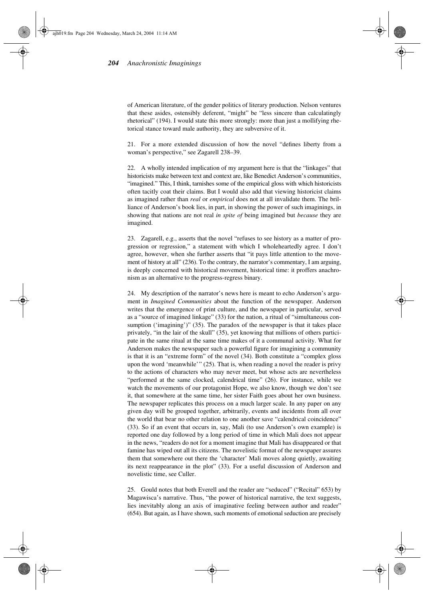of American literature, of the gender politics of literary production. Nelson ventures that these asides, ostensibly deferent, "might" be "less sincere than calculatingly rhetorical" (194). I would state this more strongly: more than just a mollifying rhetorical stance toward male authority, they are subversive of it.

21. For a more extended discussion of how the novel "degnes liberty from a woman's perspective," see Zagarell 238–39.

22. A wholly intended implication of my argument here is that the "linkages" that historicists make between text and context are, like Benedict Anderson's communities, "imagined." This, I think, tarnishes some of the empirical gloss with which historicists often tacitly coat their claims. But I would also add that viewing historicist claims as imagined rather than *real* or *empirical* does not at all invalidate them. The brilliance of Anderson's book lies, in part, in showing the power of such imaginings, in showing that nations are not real *in spite of* being imagined but *because* they are imagined.

23. Zagarell, e.g., asserts that the novel "refuses to see history as a matter of progression or regression," a statement with which I wholeheartedly agree. I don't agree, however, when she further asserts that "it pays little attention to the movement of history at all" (236). To the contrary, the narrator's commentary, I am arguing, is deeply concerned with historical movement, historical time: it proffers anachronism as an alternative to the progress-regress binary.

24. My description of the narrator's news here is meant to echo Anderson's argument in *Imagined Communities* about the function of the newspaper. Anderson writes that the emergence of print culture, and the newspaper in particular, served as a "source of imagined linkage" (33) for the nation, a ritual of "simultaneous consumption ('imagining')" (35). The paradox of the newspaper is that it takes place privately, "in the lair of the skull" (35), yet knowing that millions of others participate in the same ritual at the same time makes of it a communal activity. What for Anderson makes the newspaper such a powerful figure for imagining a community is that it is an "extreme form" of the novel (34). Both constitute a "complex gloss upon the word 'meanwhile'" (25). That is, when reading a novel the reader is privy to the actions of characters who may never meet, but whose acts are nevertheless "performed at the same clocked, calendrical time" (26). For instance, while we watch the movements of our protagonist Hope, we also know, though we don't see it, that somewhere at the same time, her sister Faith goes about her own business. The newspaper replicates this process on a much larger scale. In any paper on any given day will be grouped together, arbitrarily, events and incidents from all over the world that bear no other relation to one another save "calendrical coincidence" (33). So if an event that occurs in, say, Mali (to use Anderson's own example) is reported one day followed by a long period of time in which Mali does not appear in the news, "readers do not for a moment imagine that Mali has disappeared or that famine has wiped out all its citizens. The novelistic format of the newspaper assures them that somewhere out there the 'character' Mali moves along quietly, awaiting its next reappearance in the plot" (33). For a useful discussion of Anderson and novelistic time, see Culler.

25. Gould notes that both Everell and the reader are "seduced" ("Recital" 653) by Magawisca's narrative. Thus, "the power of historical narrative, the text suggests, lies inevitably along an axis of imaginative feeling between author and reader" (654). But again, as I have shown, such moments of emotional seduction are precisely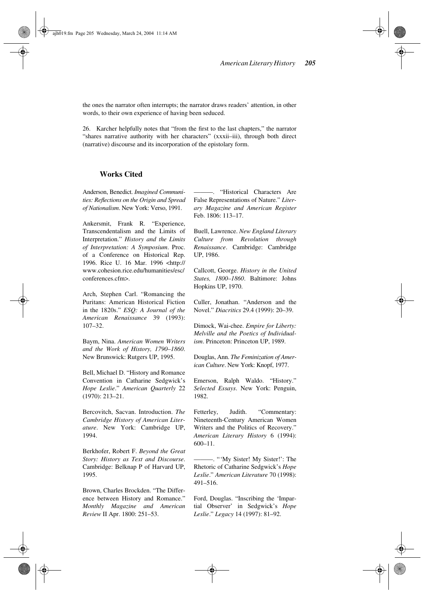the ones the narrator often interrupts; the narrator draws readers' attention, in other words, to their own experience of having been seduced.

26. Karcher helpfully notes that "from the first to the last chapters," the narrator "shares narrative authority with her characters" (xxxii–iii), through both direct (narrative) discourse and its incorporation of the epistolary form.

### **Works Cited**

Anderson, Benedict. *Imagined Communities: Rehections on the Origin and Spread of Nationalism*. New York: Verso, 1991.

Ankersmit, Frank R. "Experience, Transcendentalism and the Limits of Interpretation." *History and the Limits of Interpretation: A Symposium*. Proc. of a Conference on Historical Rep. 1996. Rice U. 16 Mar. 1996 <http:// www.cohesion.rice.edu/humanities/esc/ conferences.cfm>.

Arch, Stephen Carl. "Romancing the Puritans: American Historical Fiction in the 1820s." *ESQ: A Journal of the American Renaissance* 39 (1993): 107–32.

Baym, Nina. *American Women Writers and the Work of History, 1790–1860*. New Brunswick: Rutgers UP, 1995.

Bell, Michael D. "History and Romance Convention in Catharine Sedgwick's *Hope Leslie*." *American Quarterly* 22 (1970): 213–21.

Bercovitch, Sacvan. Introduction. *The Cambridge History of American Literature*. New York: Cambridge UP, 1994.

Berkhofer, Robert F. *Beyond the Great Story: History as Text and Discourse*. Cambridge: Belknap P of Harvard UP, 1995.

Brown, Charles Brockden. "The Difference between History and Romance." *Monthly Magazine and American Review* II Apr. 1800: 251–53.

———. "Historical Characters Are False Representations of Nature." *Literary Magazine and American Register* Feb. 1806: 113–17.

Buell, Lawrence. *New England Literary Culture from Revolution through Renaissance*. Cambridge: Cambridge UP, 1986.

Callcott, George. *History in the United States, 1800–1860*. Baltimore: Johns Hopkins UP, 1970.

Culler, Jonathan. "Anderson and the Novel." *Diacritics* 29.4 (1999): 20–39.

Dimock, Wai-chee. *Empire for Liberty: Melville and the Poetics of Individualism*. Princeton: Princeton UP, 1989.

Douglas, Ann. *The Feminization of American Culture*. New York: Knopf, 1977.

Emerson, Ralph Waldo. "History." *Selected Essays*. New York: Penguin, 1982.

Fetterley, Judith. "Commentary: Nineteenth-Century American Women Writers and the Politics of Recovery." *American Literary History* 6 (1994): 600–11.

———. "'My Sister! My Sister!': The Rhetoric of Catharine Sedgwick's *Hope Leslie*." *American Literature* 70 (1998): 491–516.

Ford, Douglas. "Inscribing the 'Impartial Observer' in Sedgwick's *Hope Leslie*." *Legacy* 14 (1997): 81–92.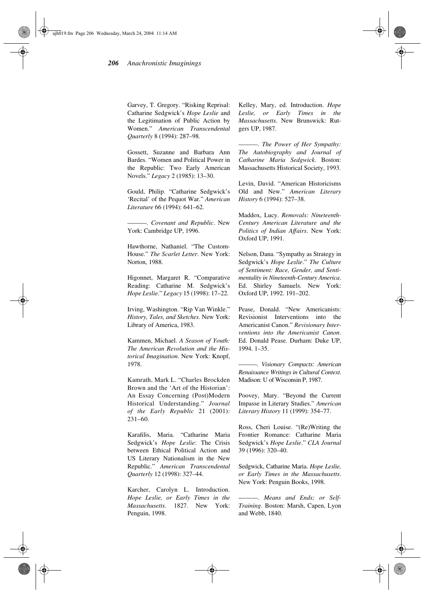Garvey, T. Gregory. "Risking Reprisal: Catharine Sedgwick's *Hope Leslie* and the Legitimation of Public Action by Women." *American Transcendental Quarterly* 8 (1994): 287–98.

Gossett, Suzanne and Barbara Ann Bardes. "Women and Political Power in the Republic: Two Early American Novels." *Legacy* 2 (1985): 13–30.

Gould, Philip. "Catharine Sedgwick's 'Recital' of the Pequot War." *American Literature* 66 (1994): 641–62.

———. *Covenant and Republic*. New York: Cambridge UP, 1996.

Hawthorne, Nathaniel. "The Custom-House." *The Scarlet Letter*. New York: Norton, 1988.

Higonnet, Margaret R. "Comparative Reading: Catharine M. Sedgwick's *Hope Leslie*." *Legacy* 15 (1998): 17–22.

Irving, Washington. "Rip Van Winkle." *History, Tales, and Sketches*. New York: Library of America, 1983.

Kammen, Michael. *A Season of Youth: The American Revolution and the Historical Imagination*. New York: Knopf, 1978.

Kamrath, Mark L. "Charles Brockden Brown and the 'Art of the Historian': An Essay Concerning (Post)Modern Historical Understanding." *Journal of the Early Republic* 21 (2001): 231–60.

Karafilis, Maria. "Catharine Maria Sedgwick's *Hope Leslie*: The Crisis between Ethical Political Action and US Literary Nationalism in the New Republic." *American Transcendental Quarterly* 12 (1998): 327–44.

Karcher, Carolyn L. Introduction. *Hope Leslie, or Early Times in the Massachusetts*. 1827. New York: Penguin, 1998.

Kelley, Mary, ed. Introduction. *Hope Leslie, or Early Times in the Massachusetts*. New Brunswick: Rutgers UP, 1987.

———. *The Power of Her Sympathy: The Autobiography and Journal of Catharine Maria Sedgwick*. Boston: Massachusetts Historical Society, 1993.

Levin, David. "American Historicisms Old and New." *American Literary History* 6 (1994): 527–38.

Maddox, Lucy. *Removals: Nineteenth-Century American Literature and the Politics of Indian Aiairs*. New York: Oxford UP, 1991.

Nelson, Dana. "Sympathy as Strategy in Sedgwick's *Hope Leslie*." *The Culture of Sentiment: Race, Gender, and Sentimentality in Nineteenth-Century America*. Ed. Shirley Samuels. New York: Oxford UP, 1992. 191–202.

Pease, Donald. "New Americanists: Revisionist Interventions into the Americanist Canon." *Revisionary Interventions into the Americanist Canon*. Ed. Donald Pease. Durham: Duke UP, 1994. 1–35.

——*—. Visionary Compacts: American Renaissance Writings in Cultural Context*. Madison: U of Wisconsin P, 1987.

Poovey, Mary. "Beyond the Current Impasse in Literary Studies." *American Literary History* 11 (1999): 354–77.

Ross, Cheri Louise. "(Re)Writing the Frontier Romance: Catharine Maria Sedgwick's *Hope Leslie*." *CLA Journal* 39 (1996): 320–40.

Sedgwick, Catharine Maria. *Hope Leslie, or Early Times in the Massachusetts*. New York: Penguin Books, 1998.

———. *Means and Ends; or Self-Training*. Boston: Marsh, Capen, Lyon and Webb, 1840.